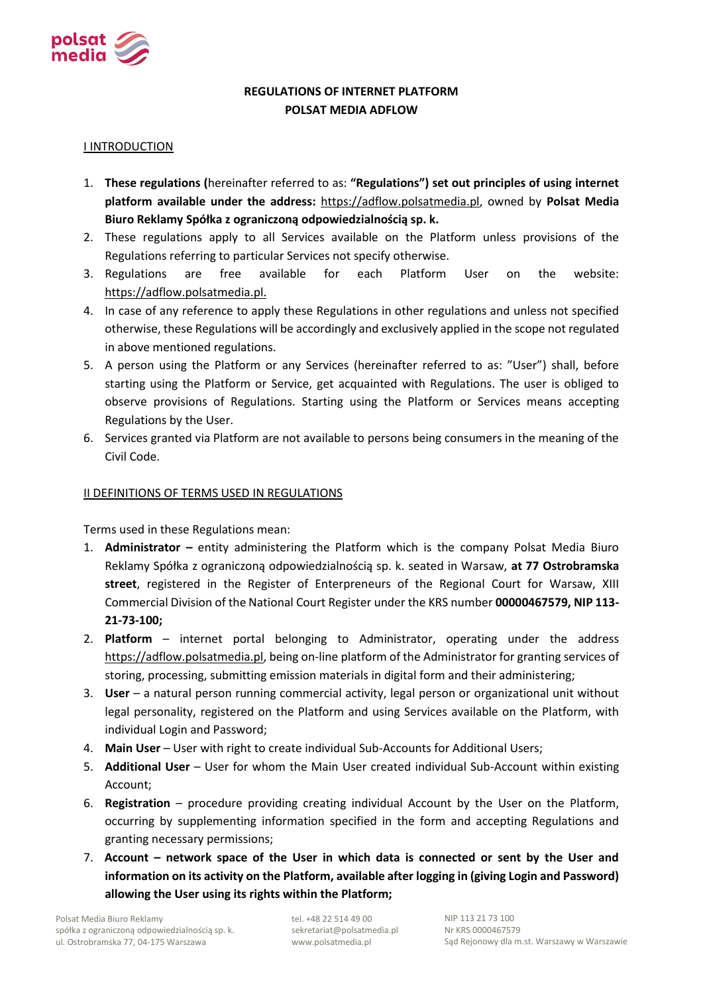

# **REGULATIONS OF INTERNET PLATFORM POLSAT MEDIA ADFLOW**

#### I INTRODUCTION

- 1. **These regulations (**hereinafter referred to as: **"Regulations") set out principles of using internet platform available under the address:** https://adflow.polsatmedia.pl, owned by **Polsat Media Biuro Reklamy Spółka z ograniczoną odpowiedzialnością sp. k.**
- 2. These regulations apply to all Services available on the Platform unless provisions of the Regulations referring to particular Services not specify otherwise.
- 3. Regulations are free available for each Platform User on the website: https://adflow.polsatmedia.pl.
- 4. In case of any reference to apply these Regulations in other regulations and unless not specified otherwise, these Regulations will be accordingly and exclusively applied in the scope not regulated in above mentioned regulations.
- 5. A person using the Platform or any Services (hereinafter referred to as: "User") shall, before starting using the Platform or Service, get acquainted with Regulations. The user is obliged to observe provisions of Regulations. Starting using the Platform or Services means accepting Regulations by the User.
- 6. Services granted via Platform are not available to persons being consumers in the meaning of the Civil Code.

#### II DEFINITIONS OF TERMS USED IN REGULATIONS

Terms used in these Regulations mean:

- 1. **Administrator –** entity administering the Platform which is the company Polsat Media Biuro Reklamy Spółka z ograniczoną odpowiedzialnością sp. k. seated in Warsaw, **at 77 Ostrobramska street**, registered in the Register of Enterpreneurs of the Regional Court for Warsaw, XIII Commercial Division of the National Court Register under the KRS number **00000467579, NIP 113- 21-73-100;**
- 2. **Platform**  internet portal belonging to Administrator, operating under the address https://adflow.polsatmedia.pl, being on-line platform of the Administrator for granting services of storing, processing, submitting emission materials in digital form and their administering;
- 3. **User**  a natural person running commercial activity, legal person or organizational unit without legal personality, registered on the Platform and using Services available on the Platform, with individual Login and Password;
- 4. **Main User**  User with right to create individual Sub-Accounts for Additional Users;
- 5. **Additional User**  User for whom the Main User created individual Sub-Account within existing Account;
- 6. **Registration**  procedure providing creating individual Account by the User on the Platform, occurring by supplementing information specified in the form and accepting Regulations and granting necessary permissions;
- 7. **Account – network space of the User in which data is connected or sent by the User and information on its activity on the Platform, available after logging in (giving Login and Password) allowing the User using its rights within the Platform;**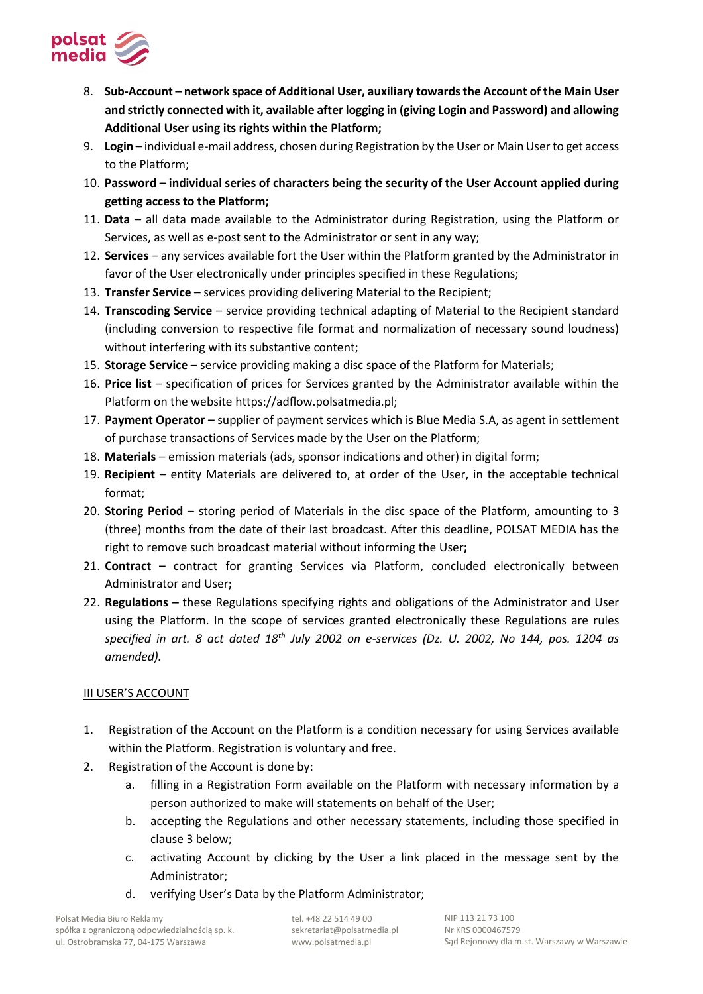

- 8. **Sub-Account – network space of Additional User, auxiliary towards the Account of the Main User and strictly connected with it, available after logging in (giving Login and Password) and allowing Additional User using its rights within the Platform;**
- 9. **Login**  individual e-mail address, chosen during Registration by the User or Main User to get access to the Platform;
- 10. **Password – individual series of characters being the security of the User Account applied during getting access to the Platform;**
- 11. **Data**  all data made available to the Administrator during Registration, using the Platform or Services, as well as e-post sent to the Administrator or sent in any way;
- 12. **Services**  any services available fort the User within the Platform granted by the Administrator in favor of the User electronically under principles specified in these Regulations;
- 13. **Transfer Service**  services providing delivering Material to the Recipient;
- 14. **Transcoding Service**  service providing technical adapting of Material to the Recipient standard (including conversion to respective file format and normalization of necessary sound loudness) without interfering with its substantive content;
- 15. **Storage Service**  service providing making a disc space of the Platform for Materials;
- 16. **Price list**  specification of prices for Services granted by the Administrator available within the Platform on the website https://adflow.polsatmedia.pl;
- 17. **Payment Operator –** supplier of payment services which is Blue Media S.A, as agent in settlement of purchase transactions of Services made by the User on the Platform;
- 18. **Materials**  emission materials (ads, sponsor indications and other) in digital form;
- 19. **Recipient**  entity Materials are delivered to, at order of the User, in the acceptable technical format;
- 20. **Storing Period**  storing period of Materials in the disc space of the Platform, amounting to 3 (three) months from the date of their last broadcast. After this deadline, POLSAT MEDIA has the right to remove such broadcast material without informing the User**;**
- 21. **Contract –** contract for granting Services via Platform, concluded electronically between Administrator and User**;**
- 22. **Regulations –** these Regulations specifying rights and obligations of the Administrator and User using the Platform. In the scope of services granted electronically these Regulations are rules *specified in art. 8 act dated 18th July 2002 on e-services (Dz. U. 2002, No 144, pos. 1204 as amended).*

## III USER'S ACCOUNT

- 1. Registration of the Account on the Platform is a condition necessary for using Services available within the Platform. Registration is voluntary and free.
- 2. Registration of the Account is done by:
	- a. filling in a Registration Form available on the Platform with necessary information by a person authorized to make will statements on behalf of the User;
	- b. accepting the Regulations and other necessary statements, including those specified in clause 3 below;
	- c. activating Account by clicking by the User a link placed in the message sent by the Administrator;
	- d. verifying User's Data by the Platform Administrator;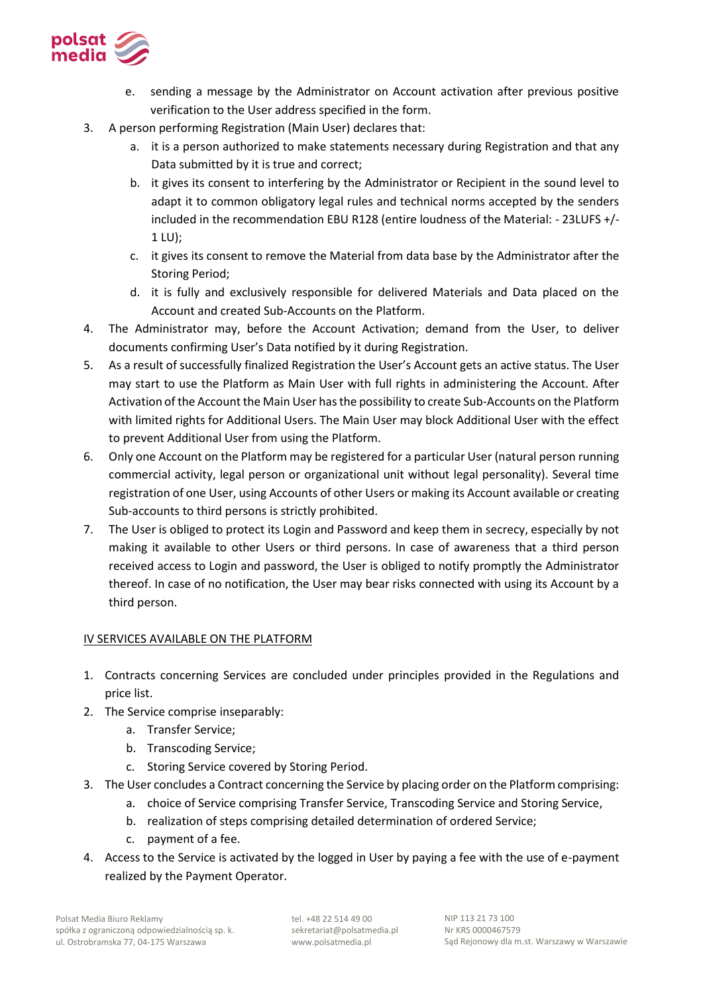

- e. sending a message by the Administrator on Account activation after previous positive verification to the User address specified in the form.
- 3. A person performing Registration (Main User) declares that:
	- a. it is a person authorized to make statements necessary during Registration and that any Data submitted by it is true and correct;
	- b. it gives its consent to interfering by the Administrator or Recipient in the sound level to adapt it to common obligatory legal rules and technical norms accepted by the senders included in the recommendation EBU R128 (entire loudness of the Material: - 23LUFS +/- 1 LU);
	- c. it gives its consent to remove the Material from data base by the Administrator after the Storing Period;
	- d. it is fully and exclusively responsible for delivered Materials and Data placed on the Account and created Sub-Accounts on the Platform.
- 4. The Administrator may, before the Account Activation; demand from the User, to deliver documents confirming User's Data notified by it during Registration.
- 5. As a result of successfully finalized Registration the User's Account gets an active status. The User may start to use the Platform as Main User with full rights in administering the Account. After Activation of the Account the Main User has the possibility to create Sub-Accounts on the Platform with limited rights for Additional Users. The Main User may block Additional User with the effect to prevent Additional User from using the Platform.
- 6. Only one Account on the Platform may be registered for a particular User (natural person running commercial activity, legal person or organizational unit without legal personality). Several time registration of one User, using Accounts of other Users or making its Account available or creating Sub-accounts to third persons is strictly prohibited.
- 7. The User is obliged to protect its Login and Password and keep them in secrecy, especially by not making it available to other Users or third persons. In case of awareness that a third person received access to Login and password, the User is obliged to notify promptly the Administrator thereof. In case of no notification, the User may bear risks connected with using its Account by a third person.

## IV SERVICES AVAILABLE ON THE PLATFORM

- 1. Contracts concerning Services are concluded under principles provided in the Regulations and price list.
- 2. The Service comprise inseparably:
	- a. Transfer Service;
	- b. Transcoding Service;
	- c. Storing Service covered by Storing Period.
- 3. The User concludes a Contract concerning the Service by placing order on the Platform comprising:
	- a. choice of Service comprising Transfer Service, Transcoding Service and Storing Service,
	- b. realization of steps comprising detailed determination of ordered Service;
	- c. payment of a fee.
- 4. Access to the Service is activated by the logged in User by paying a fee with the use of e-payment realized by the Payment Operator.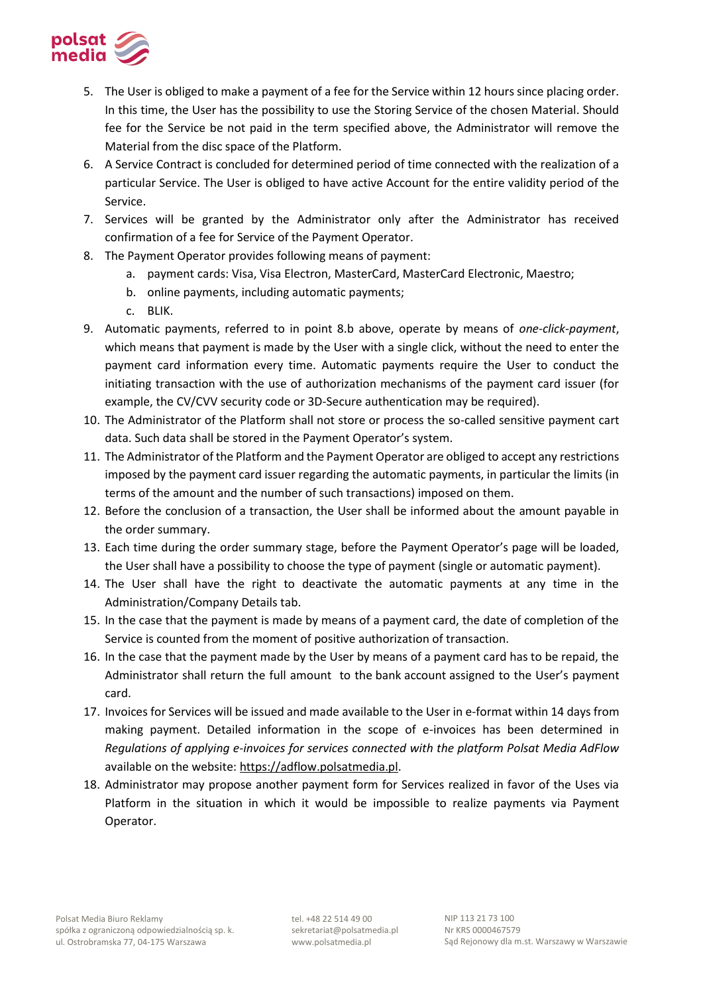

- 5. The User is obliged to make a payment of a fee for the Service within 12 hours since placing order. In this time, the User has the possibility to use the Storing Service of the chosen Material. Should fee for the Service be not paid in the term specified above, the Administrator will remove the Material from the disc space of the Platform.
- 6. A Service Contract is concluded for determined period of time connected with the realization of a particular Service. The User is obliged to have active Account for the entire validity period of the Service.
- 7. Services will be granted by the Administrator only after the Administrator has received confirmation of a fee for Service of the Payment Operator.
- 8. The Payment Operator provides following means of payment:
	- a. payment cards: Visa, Visa Electron, MasterCard, MasterCard Electronic, Maestro;
	- b. online payments, including automatic payments;
	- c. BLIK.
- 9. Automatic payments, referred to in point 8.b above, operate by means of *one-click-payment*, which means that payment is made by the User with a single click, without the need to enter the payment card information every time. Automatic payments require the User to conduct the initiating transaction with the use of authorization mechanisms of the payment card issuer (for example, the CV/CVV security code or 3D-Secure authentication may be required).
- 10. The Administrator of the Platform shall not store or process the so-called sensitive payment cart data. Such data shall be stored in the Payment Operator's system.
- 11. The Administrator of the Platform and the Payment Operator are obliged to accept any restrictions imposed by the payment card issuer regarding the automatic payments, in particular the limits (in terms of the amount and the number of such transactions) imposed on them.
- 12. Before the conclusion of a transaction, the User shall be informed about the amount payable in the order summary.
- 13. Each time during the order summary stage, before the Payment Operator's page will be loaded, the User shall have a possibility to choose the type of payment (single or automatic payment).
- 14. The User shall have the right to deactivate the automatic payments at any time in the Administration/Company Details tab.
- 15. In the case that the payment is made by means of a payment card, the date of completion of the Service is counted from the moment of positive authorization of transaction.
- 16. In the case that the payment made by the User by means of a payment card has to be repaid, the Administrator shall return the full amount to the bank account assigned to the User's payment card.
- 17. Invoices for Services will be issued and made available to the User in e-format within 14 days from making payment. Detailed information in the scope of e-invoices has been determined in *Regulations of applying e-invoices for services connected with the platform Polsat Media AdFlow*  available on the website: https://adflow.polsatmedia.pl.
- 18. Administrator may propose another payment form for Services realized in favor of the Uses via Platform in the situation in which it would be impossible to realize payments via Payment Operator.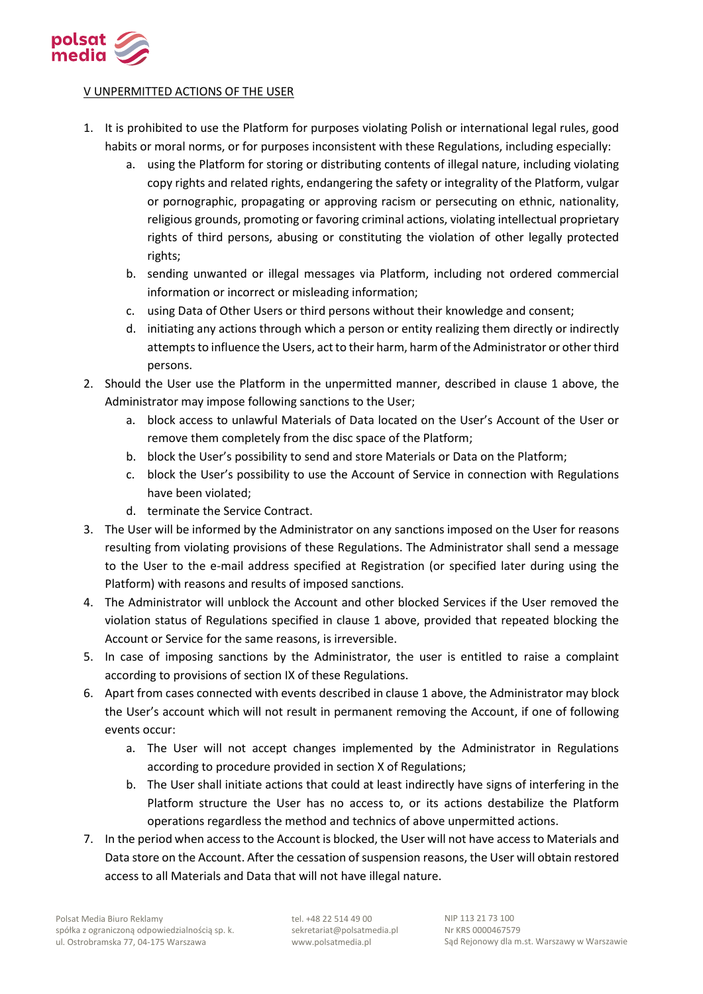

## V UNPERMITTED ACTIONS OF THE USER

- 1. It is prohibited to use the Platform for purposes violating Polish or international legal rules, good habits or moral norms, or for purposes inconsistent with these Regulations, including especially:
	- a. using the Platform for storing or distributing contents of illegal nature, including violating copy rights and related rights, endangering the safety or integrality of the Platform, vulgar or pornographic, propagating or approving racism or persecuting on ethnic, nationality, religious grounds, promoting or favoring criminal actions, violating intellectual proprietary rights of third persons, abusing or constituting the violation of other legally protected rights;
	- b. sending unwanted or illegal messages via Platform, including not ordered commercial information or incorrect or misleading information;
	- c. using Data of Other Users or third persons without their knowledge and consent;
	- d. initiating any actions through which a person or entity realizing them directly or indirectly attempts to influence the Users, act to their harm, harm of the Administrator or other third persons.
- 2. Should the User use the Platform in the unpermitted manner, described in clause 1 above, the Administrator may impose following sanctions to the User;
	- a. block access to unlawful Materials of Data located on the User's Account of the User or remove them completely from the disc space of the Platform;
	- b. block the User's possibility to send and store Materials or Data on the Platform;
	- c. block the User's possibility to use the Account of Service in connection with Regulations have been violated;
	- d. terminate the Service Contract.
- 3. The User will be informed by the Administrator on any sanctions imposed on the User for reasons resulting from violating provisions of these Regulations. The Administrator shall send a message to the User to the e-mail address specified at Registration (or specified later during using the Platform) with reasons and results of imposed sanctions.
- 4. The Administrator will unblock the Account and other blocked Services if the User removed the violation status of Regulations specified in clause 1 above, provided that repeated blocking the Account or Service for the same reasons, is irreversible.
- 5. In case of imposing sanctions by the Administrator, the user is entitled to raise a complaint according to provisions of section IX of these Regulations.
- 6. Apart from cases connected with events described in clause 1 above, the Administrator may block the User's account which will not result in permanent removing the Account, if one of following events occur:
	- a. The User will not accept changes implemented by the Administrator in Regulations according to procedure provided in section X of Regulations;
	- b. The User shall initiate actions that could at least indirectly have signs of interfering in the Platform structure the User has no access to, or its actions destabilize the Platform operations regardless the method and technics of above unpermitted actions.
- 7. In the period when access to the Account is blocked, the User will not have access to Materials and Data store on the Account. After the cessation of suspension reasons, the User will obtain restored access to all Materials and Data that will not have illegal nature.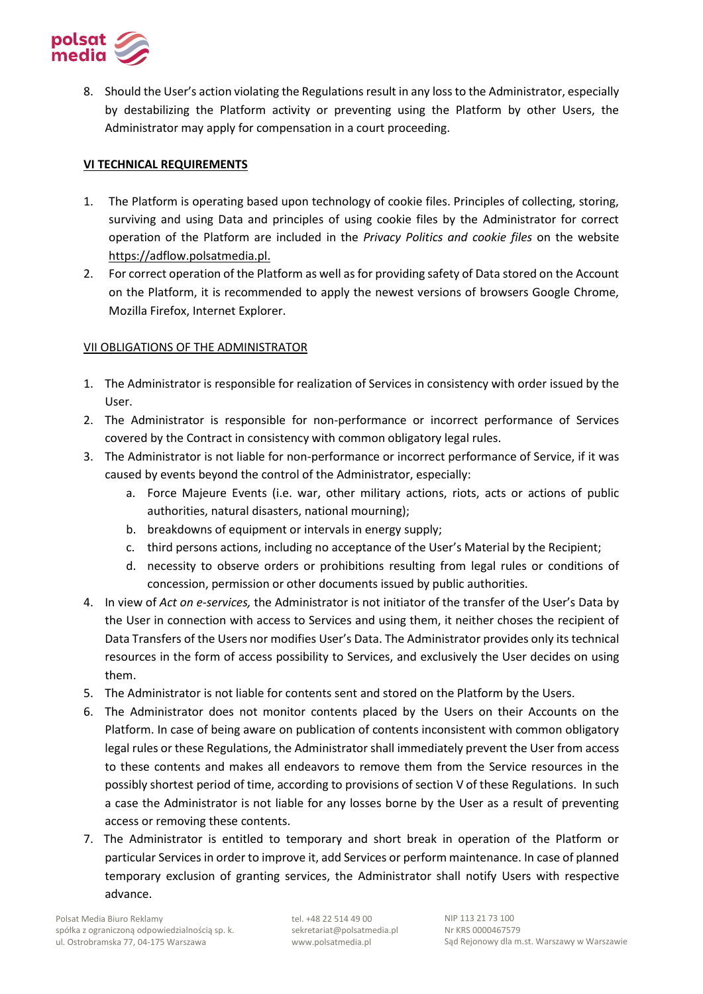

8. Should the User's action violating the Regulations result in any loss to the Administrator, especially by destabilizing the Platform activity or preventing using the Platform by other Users, the Administrator may apply for compensation in a court proceeding.

## **VI TECHNICAL REQUIREMENTS**

- 1. The Platform is operating based upon technology of cookie files. Principles of collecting, storing, surviving and using Data and principles of using cookie files by the Administrator for correct operation of the Platform are included in the *Privacy Politics and cookie files* on the website https://adflow.polsatmedia.pl.
- 2. For correct operation of the Platform as well as for providing safety of Data stored on the Account on the Platform, it is recommended to apply the newest versions of browsers Google Chrome, Mozilla Firefox, Internet Explorer.

## VII OBLIGATIONS OF THE ADMINISTRATOR

- 1. The Administrator is responsible for realization of Services in consistency with order issued by the User.
- 2. The Administrator is responsible for non-performance or incorrect performance of Services covered by the Contract in consistency with common obligatory legal rules.
- 3. The Administrator is not liable for non-performance or incorrect performance of Service, if it was caused by events beyond the control of the Administrator, especially:
	- a. Force Majeure Events (i.e. war, other military actions, riots, acts or actions of public authorities, natural disasters, national mourning);
	- b. breakdowns of equipment or intervals in energy supply;
	- c. third persons actions, including no acceptance of the User's Material by the Recipient;
	- d. necessity to observe orders or prohibitions resulting from legal rules or conditions of concession, permission or other documents issued by public authorities.
- 4. In view of *Act on e-services,* the Administrator is not initiator of the transfer of the User's Data by the User in connection with access to Services and using them, it neither choses the recipient of Data Transfers of the Users nor modifies User's Data. The Administrator provides only its technical resources in the form of access possibility to Services, and exclusively the User decides on using them.
- 5. The Administrator is not liable for contents sent and stored on the Platform by the Users.
- 6. The Administrator does not monitor contents placed by the Users on their Accounts on the Platform. In case of being aware on publication of contents inconsistent with common obligatory legal rules or these Regulations, the Administrator shall immediately prevent the User from access to these contents and makes all endeavors to remove them from the Service resources in the possibly shortest period of time, according to provisions of section V of these Regulations. In such a case the Administrator is not liable for any losses borne by the User as a result of preventing access or removing these contents.
- 7. The Administrator is entitled to temporary and short break in operation of the Platform or particular Services in order to improve it, add Services or perform maintenance. In case of planned temporary exclusion of granting services, the Administrator shall notify Users with respective advance.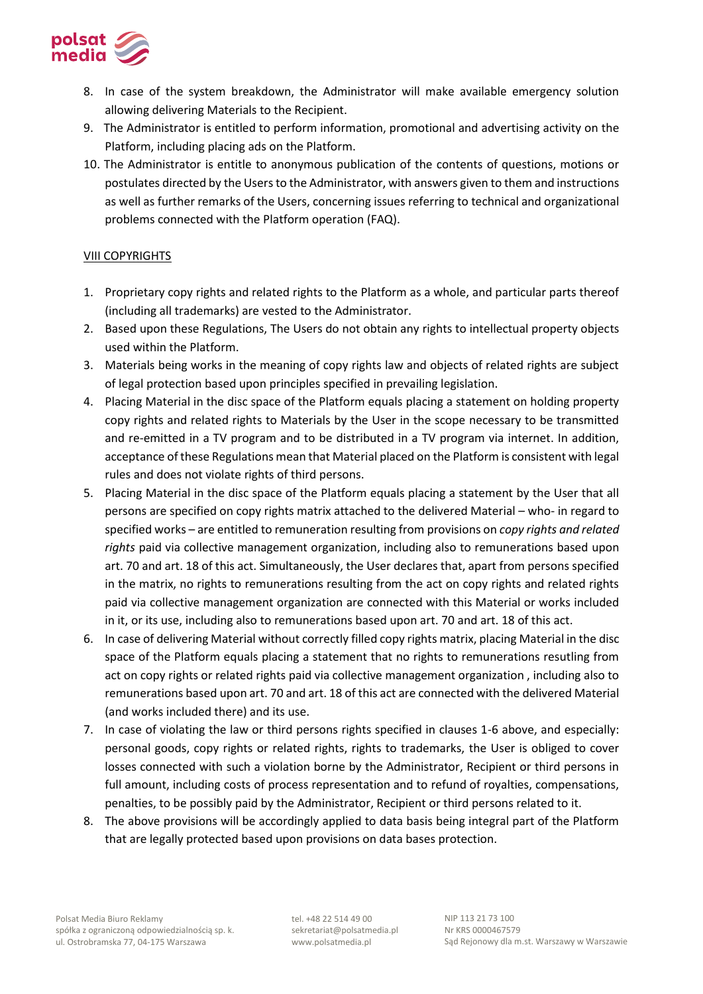

- 8. In case of the system breakdown, the Administrator will make available emergency solution allowing delivering Materials to the Recipient.
- 9. The Administrator is entitled to perform information, promotional and advertising activity on the Platform, including placing ads on the Platform.
- 10. The Administrator is entitle to anonymous publication of the contents of questions, motions or postulates directed by the Users to the Administrator, with answers given to them and instructions as well as further remarks of the Users, concerning issues referring to technical and organizational problems connected with the Platform operation (FAQ).

### VIII COPYRIGHTS

- 1. Proprietary copy rights and related rights to the Platform as a whole, and particular parts thereof (including all trademarks) are vested to the Administrator.
- 2. Based upon these Regulations, The Users do not obtain any rights to intellectual property objects used within the Platform.
- 3. Materials being works in the meaning of copy rights law and objects of related rights are subject of legal protection based upon principles specified in prevailing legislation.
- 4. Placing Material in the disc space of the Platform equals placing a statement on holding property copy rights and related rights to Materials by the User in the scope necessary to be transmitted and re-emitted in a TV program and to be distributed in a TV program via internet. In addition, acceptance of these Regulations mean that Material placed on the Platform is consistent with legal rules and does not violate rights of third persons.
- 5. Placing Material in the disc space of the Platform equals placing a statement by the User that all persons are specified on copy rights matrix attached to the delivered Material – who- in regard to specified works – are entitled to remuneration resulting from provisions on *copy rights and related rights* paid via collective management organization, including also to remunerations based upon art. 70 and art. 18 of this act. Simultaneously, the User declares that, apart from persons specified in the matrix, no rights to remunerations resulting from the act on copy rights and related rights paid via collective management organization are connected with this Material or works included in it, or its use, including also to remunerations based upon art. 70 and art. 18 of this act.
- 6. In case of delivering Material without correctly filled copy rights matrix, placing Material in the disc space of the Platform equals placing a statement that no rights to remunerations resutling from act on copy rights or related rights paid via collective management organization , including also to remunerations based upon art. 70 and art. 18 of this act are connected with the delivered Material (and works included there) and its use.
- 7. In case of violating the law or third persons rights specified in clauses 1-6 above, and especially: personal goods, copy rights or related rights, rights to trademarks, the User is obliged to cover losses connected with such a violation borne by the Administrator, Recipient or third persons in full amount, including costs of process representation and to refund of royalties, compensations, penalties, to be possibly paid by the Administrator, Recipient or third persons related to it.
- 8. The above provisions will be accordingly applied to data basis being integral part of the Platform that are legally protected based upon provisions on data bases protection.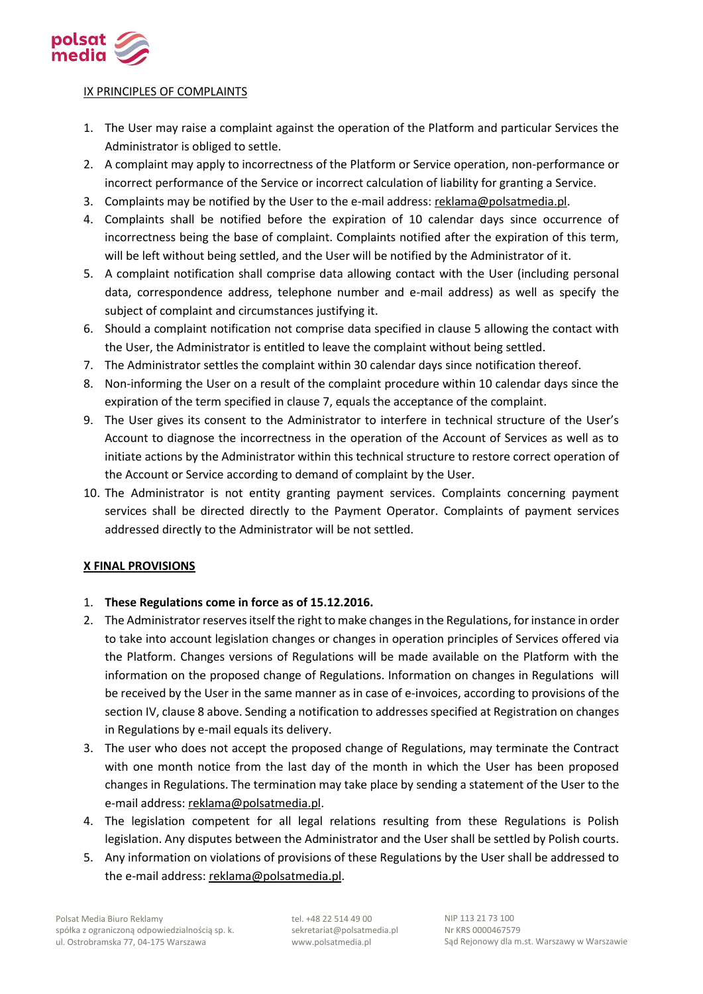

## IX PRINCIPLES OF COMPLAINTS

- 1. The User may raise a complaint against the operation of the Platform and particular Services the Administrator is obliged to settle.
- 2. A complaint may apply to incorrectness of the Platform or Service operation, non-performance or incorrect performance of the Service or incorrect calculation of liability for granting a Service.
- 3. Complaints may be notified by the User to the e-mail address: reklama@polsatmedia.pl.
- 4. Complaints shall be notified before the expiration of 10 calendar days since occurrence of incorrectness being the base of complaint. Complaints notified after the expiration of this term, will be left without being settled, and the User will be notified by the Administrator of it.
- 5. A complaint notification shall comprise data allowing contact with the User (including personal data, correspondence address, telephone number and e-mail address) as well as specify the subject of complaint and circumstances justifying it.
- 6. Should a complaint notification not comprise data specified in clause 5 allowing the contact with the User, the Administrator is entitled to leave the complaint without being settled.
- 7. The Administrator settles the complaint within 30 calendar days since notification thereof.
- 8. Non-informing the User on a result of the complaint procedure within 10 calendar days since the expiration of the term specified in clause 7, equals the acceptance of the complaint.
- 9. The User gives its consent to the Administrator to interfere in technical structure of the User's Account to diagnose the incorrectness in the operation of the Account of Services as well as to initiate actions by the Administrator within this technical structure to restore correct operation of the Account or Service according to demand of complaint by the User.
- 10. The Administrator is not entity granting payment services. Complaints concerning payment services shall be directed directly to the Payment Operator. Complaints of payment services addressed directly to the Administrator will be not settled.

## **X FINAL PROVISIONS**

## 1. **These Regulations come in force as of 15.12.2016.**

- 2. The Administrator reserves itself the right to make changes in the Regulations, for instance in order to take into account legislation changes or changes in operation principles of Services offered via the Platform. Changes versions of Regulations will be made available on the Platform with the information on the proposed change of Regulations. Information on changes in Regulations will be received by the User in the same manner as in case of e-invoices, according to provisions of the section IV, clause 8 above. Sending a notification to addresses specified at Registration on changes in Regulations by e-mail equals its delivery.
- 3. The user who does not accept the proposed change of Regulations, may terminate the Contract with one month notice from the last day of the month in which the User has been proposed changes in Regulations. The termination may take place by sending a statement of the User to the e-mail address: reklama@polsatmedia.pl.
- 4. The legislation competent for all legal relations resulting from these Regulations is Polish legislation. Any disputes between the Administrator and the User shall be settled by Polish courts.
- 5. Any information on violations of provisions of these Regulations by the User shall be addressed to the e-mail address: reklama@polsatmedia.pl.